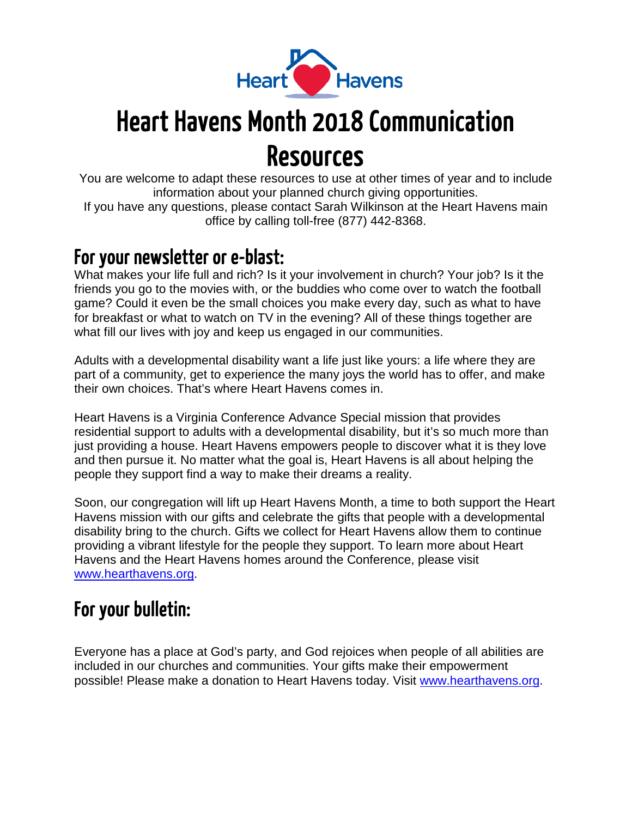

# Heart Havens Month 2018 Communication Resources

You are welcome to adapt these resources to use at other times of year and to include information about your planned church giving opportunities. If you have any questions, please contact Sarah Wilkinson at the Heart Havens main office by calling toll-free (877) 442-8368.

### For your newsletter or e-blast:

What makes your life full and rich? Is it your involvement in church? Your job? Is it the friends you go to the movies with, or the buddies who come over to watch the football game? Could it even be the small choices you make every day, such as what to have for breakfast or what to watch on TV in the evening? All of these things together are what fill our lives with joy and keep us engaged in our communities.

Adults with a developmental disability want a life just like yours: a life where they are part of a community, get to experience the many joys the world has to offer, and make their own choices. That's where Heart Havens comes in.

Heart Havens is a Virginia Conference Advance Special mission that provides residential support to adults with a developmental disability, but it's so much more than just providing a house. Heart Havens empowers people to discover what it is they love and then pursue it. No matter what the goal is, Heart Havens is all about helping the people they support find a way to make their dreams a reality.

Soon, our congregation will lift up Heart Havens Month, a time to both support the Heart Havens mission with our gifts and celebrate the gifts that people with a developmental disability bring to the church. Gifts we collect for Heart Havens allow them to continue providing a vibrant lifestyle for the people they support. To learn more about Heart Havens and the Heart Havens homes around the Conference, please visit [www.hearthavens.org.](http://www.hearthavens.org/)

## For your bulletin:

Everyone has a place at God's party, and God rejoices when people of all abilities are included in our churches and communities. Your gifts make their empowerment possible! Please make a donation to Heart Havens today. Visit [www.hearthavens.org.](http://www.hearthavens.org/)